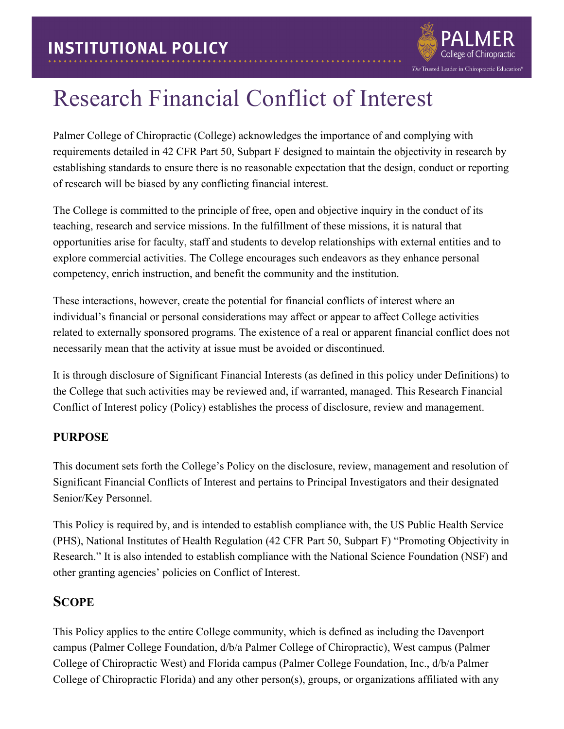

## Research Financial Conflict of Interest

Palmer College of Chiropractic (College) acknowledges the importance of and complying with requirements detailed in 42 CFR Part 50, Subpart F designed to maintain the objectivity in research by establishing standards to ensure there is no reasonable expectation that the design, conduct or reporting of research will be biased by any conflicting financial interest.

The College is committed to the principle of free, open and objective inquiry in the conduct of its teaching, research and service missions. In the fulfillment of these missions, it is natural that opportunities arise for faculty, staff and students to develop relationships with external entities and to explore commercial activities. The College encourages such endeavors as they enhance personal competency, enrich instruction, and benefit the community and the institution.

These interactions, however, create the potential for financial conflicts of interest where an individual's financial or personal considerations may affect or appear to affect College activities related to externally sponsored programs. The existence of a real or apparent financial conflict does not necessarily mean that the activity at issue must be avoided or discontinued.

It is through disclosure of Significant Financial Interests (as defined in this policy under Definitions) to the College that such activities may be reviewed and, if warranted, managed. This Research Financial Conflict of Interest policy (Policy) establishes the process of disclosure, review and management.

#### **PURPOSE**

This document sets forth the College's Policy on the disclosure, review, management and resolution of Significant Financial Conflicts of Interest and pertains to Principal Investigators and their designated Senior/Key Personnel.

This Policy is required by, and is intended to establish compliance with, the US Public Health Service (PHS), National Institutes of Health Regulation (42 CFR Part 50, Subpart F) "Promoting Objectivity in Research." It is also intended to establish compliance with the National Science Foundation (NSF) and other granting agencies' policies on Conflict of Interest.

#### **SCOPE**

This Policy applies to the entire College community, which is defined as including the Davenport campus (Palmer College Foundation, d/b/a Palmer College of Chiropractic), West campus (Palmer College of Chiropractic West) and Florida campus (Palmer College Foundation, Inc., d/b/a Palmer College of Chiropractic Florida) and any other person(s), groups, or organizations affiliated with any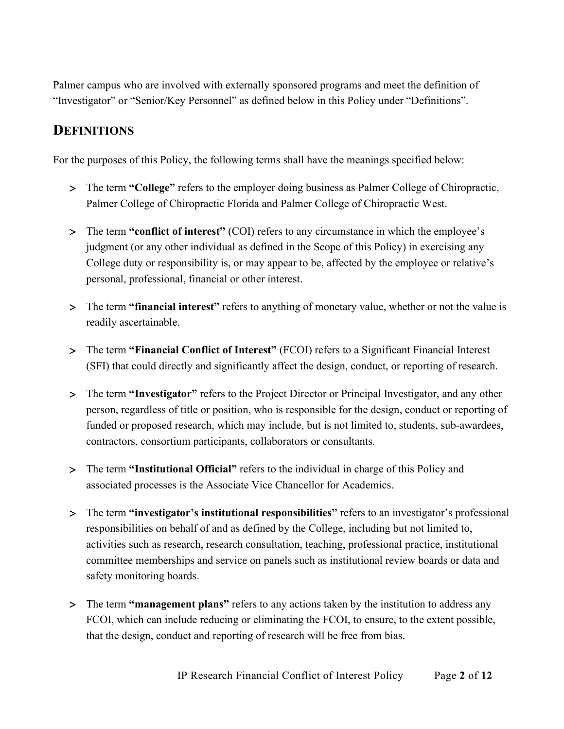Palmer campus who are involved with externally sponsored programs and meet the definition of "Investigator" or "Senior/Key Personnel" as defined below in this Policy under "Definitions".

#### **DEFINITIONS**

For the purposes of this Policy, the following terms shall have the meanings specified below:

- > The term **"College"** refers to the employer doing business as Palmer College of Chiropractic, Palmer College of Chiropractic Florida and Palmer College of Chiropractic West.
- > The term **"conflict of interest"** (COI) refers to any circumstance in which the employee's judgment (or any other individual as defined in the Scope of this Policy) in exercising any College duty or responsibility is, or may appear to be, affected by the employee or relative's personal, professional, financial or other interest.
- > The term **"financial interest"** refers to anything of monetary value, whether or not the value is readily ascertainable.
- > The term **"Financial Conflict of Interest"** (FCOI) refers to a Significant Financial Interest (SFI) that could directly and significantly affect the design, conduct, or reporting of research.
- > The term **"Investigator"** refers to the Project Director or Principal Investigator, and any other person, regardless of title or position, who is responsible for the design, conduct or reporting of funded or proposed research, which may include, but is not limited to, students, sub-awardees, contractors, consortium participants, collaborators or consultants.
- > The term **"Institutional Official"** refers to the individual in charge of this Policy and associated processes is the Associate Vice Chancellor for Academics.
- > The term **"investigator's institutional responsibilities"** refers to an investigator's professional responsibilities on behalf of and as defined by the College, including but not limited to, activities such as research, research consultation, teaching, professional practice, institutional committee memberships and service on panels such as institutional review boards or data and safety monitoring boards.
- > The term **"management plans"** refers to any actions taken by the institution to address any FCOI, which can include reducing or eliminating the FCOI, to ensure, to the extent possible, that the design, conduct and reporting of research will be free from bias.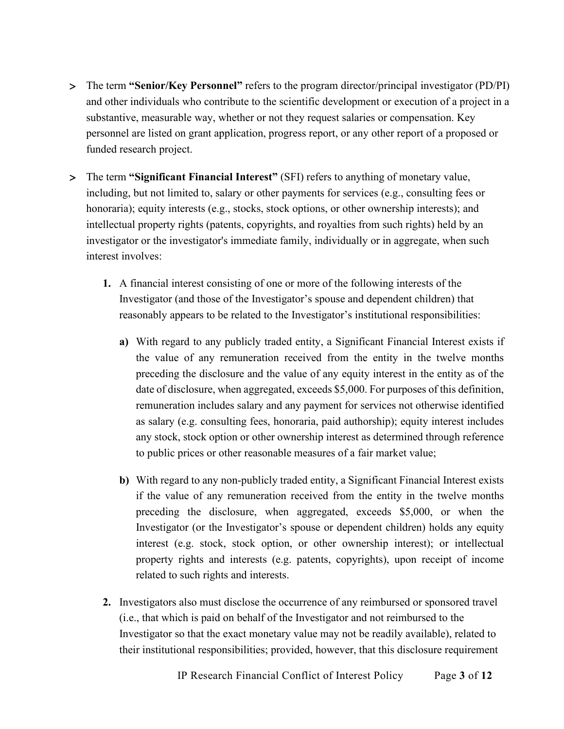- > The term **"Senior/Key Personnel"** refers to the program director/principal investigator (PD/PI) and other individuals who contribute to the scientific development or execution of a project in a substantive, measurable way, whether or not they request salaries or compensation. Key personnel are listed on grant application, progress report, or any other report of a proposed or funded research project.
- > The term **"Significant Financial Interest"** (SFI) refers to anything of monetary value, including, but not limited to, salary or other payments for services (e.g., consulting fees or honoraria); equity interests (e.g., stocks, stock options, or other ownership interests); and intellectual property rights (patents, copyrights, and royalties from such rights) held by an investigator or the investigator's immediate family, individually or in aggregate, when such interest involves:
	- **1.** A financial interest consisting of one or more of the following interests of the Investigator (and those of the Investigator's spouse and dependent children) that reasonably appears to be related to the Investigator's institutional responsibilities:
		- **a)** With regard to any publicly traded entity, a Significant Financial Interest exists if the value of any remuneration received from the entity in the twelve months preceding the disclosure and the value of any equity interest in the entity as of the date of disclosure, when aggregated, exceeds \$5,000. For purposes of this definition, remuneration includes salary and any payment for services not otherwise identified as salary (e.g. consulting fees, honoraria, paid authorship); equity interest includes any stock, stock option or other ownership interest as determined through reference to public prices or other reasonable measures of a fair market value;
		- **b)** With regard to any non-publicly traded entity, a Significant Financial Interest exists if the value of any remuneration received from the entity in the twelve months preceding the disclosure, when aggregated, exceeds \$5,000, or when the Investigator (or the Investigator's spouse or dependent children) holds any equity interest (e.g. stock, stock option, or other ownership interest); or intellectual property rights and interests (e.g. patents, copyrights), upon receipt of income related to such rights and interests.
	- **2.** Investigators also must disclose the occurrence of any reimbursed or sponsored travel (i.e., that which is paid on behalf of the Investigator and not reimbursed to the Investigator so that the exact monetary value may not be readily available), related to their institutional responsibilities; provided, however, that this disclosure requirement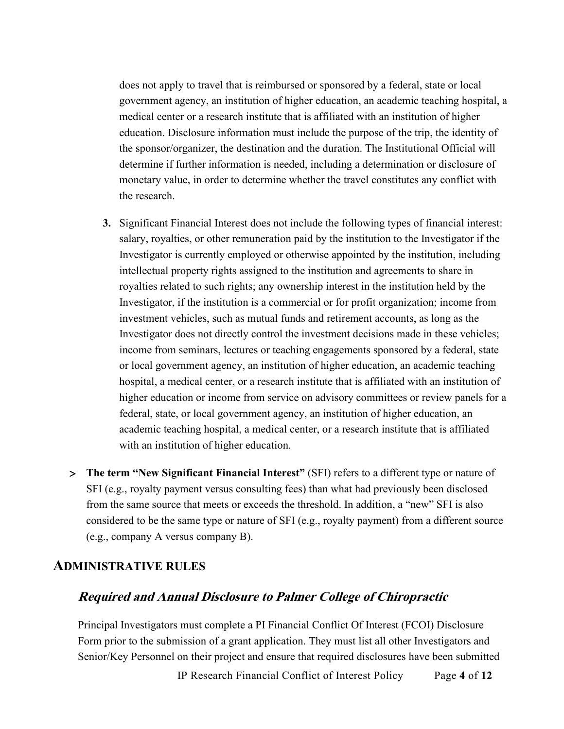does not apply to travel that is reimbursed or sponsored by a federal, state or local government agency, an institution of higher education, an academic teaching hospital, a medical center or a research institute that is affiliated with an institution of higher education. Disclosure information must include the purpose of the trip, the identity of the sponsor/organizer, the destination and the duration. The Institutional Official will determine if further information is needed, including a determination or disclosure of monetary value, in order to determine whether the travel constitutes any conflict with the research.

- **3.** Significant Financial Interest does not include the following types of financial interest: salary, royalties, or other remuneration paid by the institution to the Investigator if the Investigator is currently employed or otherwise appointed by the institution, including intellectual property rights assigned to the institution and agreements to share in royalties related to such rights; any ownership interest in the institution held by the Investigator, if the institution is a commercial or for profit organization; income from investment vehicles, such as mutual funds and retirement accounts, as long as the Investigator does not directly control the investment decisions made in these vehicles; income from seminars, lectures or teaching engagements sponsored by a federal, state or local government agency, an institution of higher education, an academic teaching hospital, a medical center, or a research institute that is affiliated with an institution of higher education or income from service on advisory committees or review panels for a federal, state, or local government agency, an institution of higher education, an academic teaching hospital, a medical center, or a research institute that is affiliated with an institution of higher education.
- > **The term "New Significant Financial Interest"** (SFI) refers to a different type or nature of SFI (e.g., royalty payment versus consulting fees) than what had previously been disclosed from the same source that meets or exceeds the threshold. In addition, a "new" SFI is also considered to be the same type or nature of SFI (e.g., royalty payment) from a different source (e.g., company A versus company B).

#### **ADMINISTRATIVE RULES**

#### **Required and Annual Disclosure to Palmer College of Chiropractic**

Principal Investigators must complete a PI Financial Conflict Of Interest (FCOI) Disclosure Form prior to the submission of a grant application. They must list all other Investigators and Senior/Key Personnel on their project and ensure that required disclosures have been submitted

IP Research Financial Conflict of Interest Policy Page **4** of **12**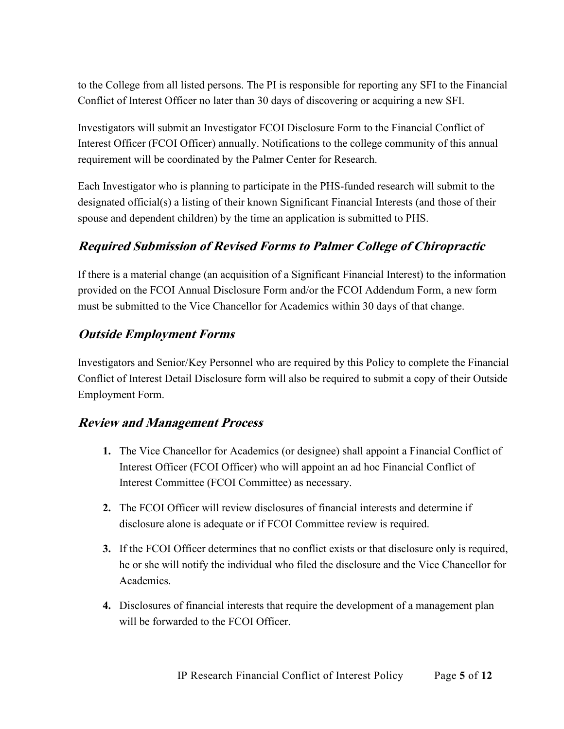to the College from all listed persons. The PI is responsible for reporting any SFI to the Financial Conflict of Interest Officer no later than 30 days of discovering or acquiring a new SFI.

Investigators will submit an Investigator FCOI Disclosure Form to the Financial Conflict of Interest Officer (FCOI Officer) annually. Notifications to the college community of this annual requirement will be coordinated by the Palmer Center for Research.

Each Investigator who is planning to participate in the PHS-funded research will submit to the designated official(s) a listing of their known Significant Financial Interests (and those of their spouse and dependent children) by the time an application is submitted to PHS.

#### **Required Submission of Revised Forms to Palmer College of Chiropractic**

If there is a material change (an acquisition of a Significant Financial Interest) to the information provided on the FCOI Annual Disclosure Form and/or the FCOI Addendum Form, a new form must be submitted to the Vice Chancellor for Academics within 30 days of that change.

#### **Outside Employment Forms**

Investigators and Senior/Key Personnel who are required by this Policy to complete the Financial Conflict of Interest Detail Disclosure form will also be required to submit a copy of their Outside Employment Form.

#### **Review and Management Process**

- **1.** The Vice Chancellor for Academics (or designee) shall appoint a Financial Conflict of Interest Officer (FCOI Officer) who will appoint an ad hoc Financial Conflict of Interest Committee (FCOI Committee) as necessary.
- **2.** The FCOI Officer will review disclosures of financial interests and determine if disclosure alone is adequate or if FCOI Committee review is required.
- **3.** If the FCOI Officer determines that no conflict exists or that disclosure only is required, he or she will notify the individual who filed the disclosure and the Vice Chancellor for Academics.
- **4.** Disclosures of financial interests that require the development of a management plan will be forwarded to the FCOI Officer.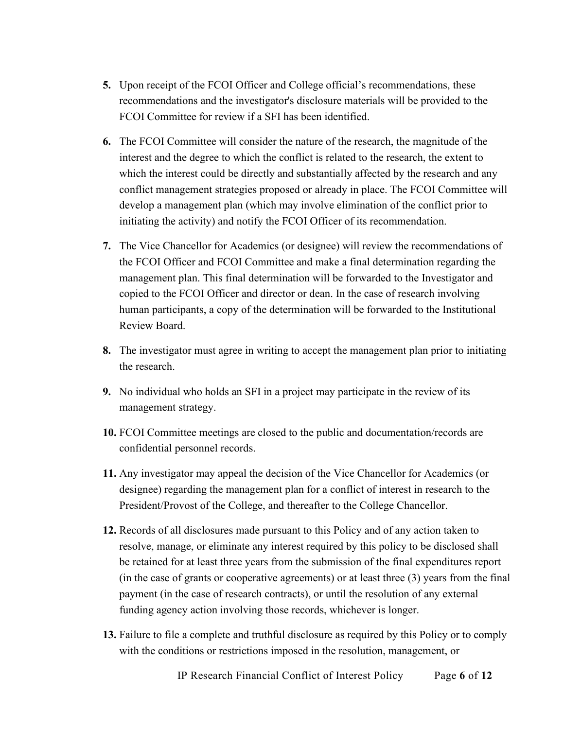- **5.** Upon receipt of the FCOI Officer and College official's recommendations, these recommendations and the investigator's disclosure materials will be provided to the FCOI Committee for review if a SFI has been identified.
- **6.** The FCOI Committee will consider the nature of the research, the magnitude of the interest and the degree to which the conflict is related to the research, the extent to which the interest could be directly and substantially affected by the research and any conflict management strategies proposed or already in place. The FCOI Committee will develop a management plan (which may involve elimination of the conflict prior to initiating the activity) and notify the FCOI Officer of its recommendation.
- **7.** The Vice Chancellor for Academics (or designee) will review the recommendations of the FCOI Officer and FCOI Committee and make a final determination regarding the management plan. This final determination will be forwarded to the Investigator and copied to the FCOI Officer and director or dean. In the case of research involving human participants, a copy of the determination will be forwarded to the Institutional Review Board.
- **8.** The investigator must agree in writing to accept the management plan prior to initiating the research.
- **9.** No individual who holds an SFI in a project may participate in the review of its management strategy.
- **10.** FCOI Committee meetings are closed to the public and documentation/records are confidential personnel records.
- **11.** Any investigator may appeal the decision of the Vice Chancellor for Academics (or designee) regarding the management plan for a conflict of interest in research to the President/Provost of the College, and thereafter to the College Chancellor.
- **12.** Records of all disclosures made pursuant to this Policy and of any action taken to resolve, manage, or eliminate any interest required by this policy to be disclosed shall be retained for at least three years from the submission of the final expenditures report (in the case of grants or cooperative agreements) or at least three (3) years from the final payment (in the case of research contracts), or until the resolution of any external funding agency action involving those records, whichever is longer.
- **13.** Failure to file a complete and truthful disclosure as required by this Policy or to comply with the conditions or restrictions imposed in the resolution, management, or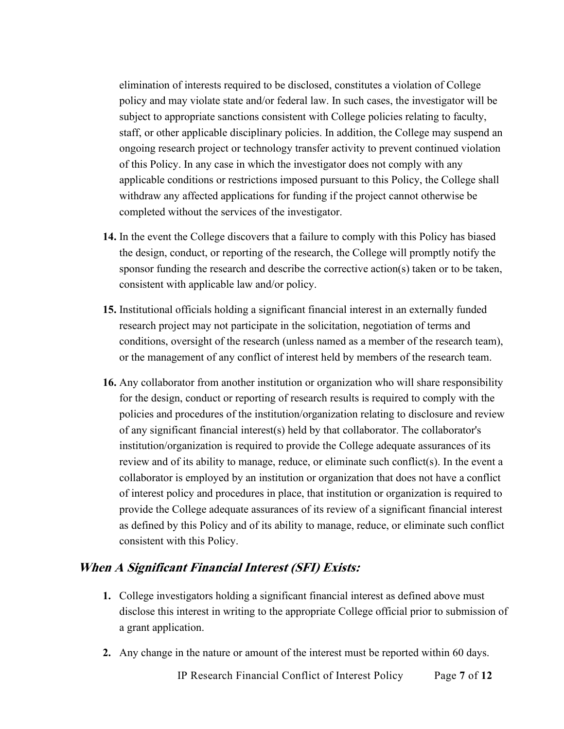elimination of interests required to be disclosed, constitutes a violation of College policy and may violate state and/or federal law. In such cases, the investigator will be subject to appropriate sanctions consistent with College policies relating to faculty, staff, or other applicable disciplinary policies. In addition, the College may suspend an ongoing research project or technology transfer activity to prevent continued violation of this Policy. In any case in which the investigator does not comply with any applicable conditions or restrictions imposed pursuant to this Policy, the College shall withdraw any affected applications for funding if the project cannot otherwise be completed without the services of the investigator.

- **14.** In the event the College discovers that a failure to comply with this Policy has biased the design, conduct, or reporting of the research, the College will promptly notify the sponsor funding the research and describe the corrective action(s) taken or to be taken, consistent with applicable law and/or policy.
- **15.** Institutional officials holding a significant financial interest in an externally funded research project may not participate in the solicitation, negotiation of terms and conditions, oversight of the research (unless named as a member of the research team), or the management of any conflict of interest held by members of the research team.
- **16.** Any collaborator from another institution or organization who will share responsibility for the design, conduct or reporting of research results is required to comply with the policies and procedures of the institution/organization relating to disclosure and review of any significant financial interest(s) held by that collaborator. The collaborator's institution/organization is required to provide the College adequate assurances of its review and of its ability to manage, reduce, or eliminate such conflict(s). In the event a collaborator is employed by an institution or organization that does not have a conflict of interest policy and procedures in place, that institution or organization is required to provide the College adequate assurances of its review of a significant financial interest as defined by this Policy and of its ability to manage, reduce, or eliminate such conflict consistent with this Policy.

#### **When A Significant Financial Interest (SFI) Exists:**

- **1.** College investigators holding a significant financial interest as defined above must disclose this interest in writing to the appropriate College official prior to submission of a grant application.
- **2.** Any change in the nature or amount of the interest must be reported within 60 days.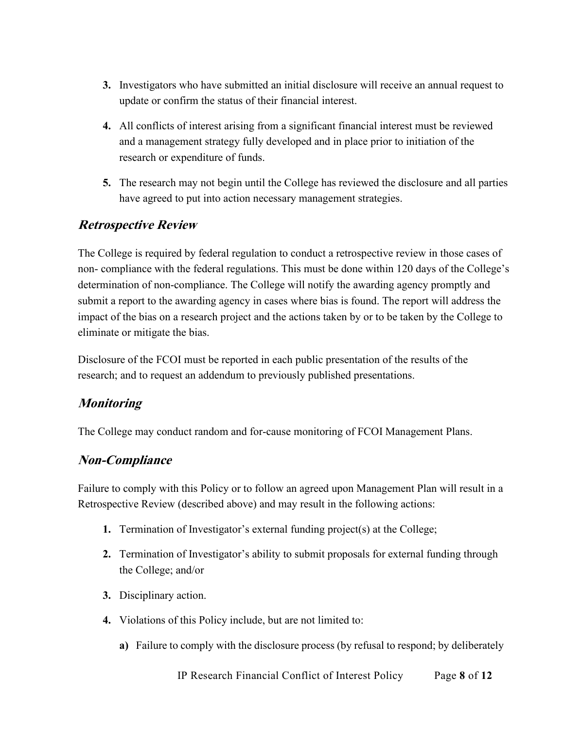- **3.** Investigators who have submitted an initial disclosure will receive an annual request to update or confirm the status of their financial interest.
- **4.** All conflicts of interest arising from a significant financial interest must be reviewed and a management strategy fully developed and in place prior to initiation of the research or expenditure of funds.
- **5.** The research may not begin until the College has reviewed the disclosure and all parties have agreed to put into action necessary management strategies.

#### **Retrospective Review**

The College is required by federal regulation to conduct a retrospective review in those cases of non- compliance with the federal regulations. This must be done within 120 days of the College's determination of non-compliance. The College will notify the awarding agency promptly and submit a report to the awarding agency in cases where bias is found. The report will address the impact of the bias on a research project and the actions taken by or to be taken by the College to eliminate or mitigate the bias.

Disclosure of the FCOI must be reported in each public presentation of the results of the research; and to request an addendum to previously published presentations.

#### **Monitoring**

The College may conduct random and for-cause monitoring of FCOI Management Plans.

#### **Non-Compliance**

Failure to comply with this Policy or to follow an agreed upon Management Plan will result in a Retrospective Review (described above) and may result in the following actions:

- **1.** Termination of Investigator's external funding project(s) at the College;
- **2.** Termination of Investigator's ability to submit proposals for external funding through the College; and/or
- **3.** Disciplinary action.
- **4.** Violations of this Policy include, but are not limited to:
	- **a)** Failure to comply with the disclosure process (by refusal to respond; by deliberately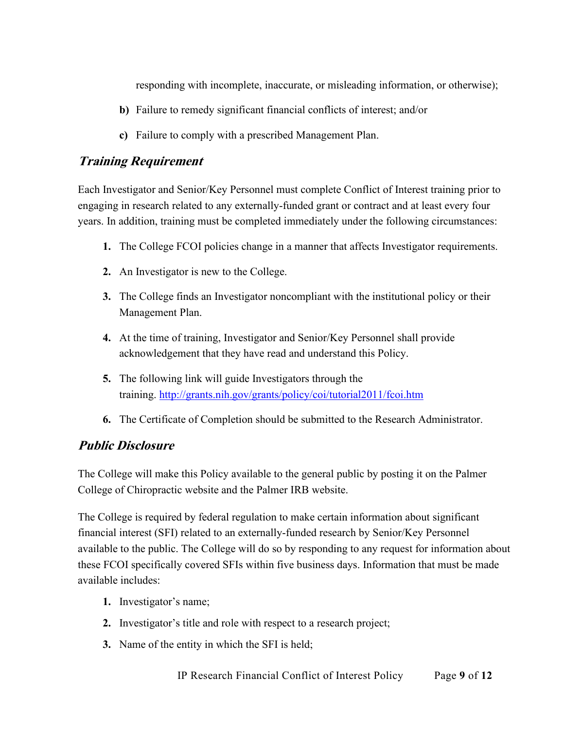responding with incomplete, inaccurate, or misleading information, or otherwise);

- **b)** Failure to remedy significant financial conflicts of interest; and/or
- **c)** Failure to comply with a prescribed Management Plan.

#### **Training Requirement**

Each Investigator and Senior/Key Personnel must complete Conflict of Interest training prior to engaging in research related to any externally-funded grant or contract and at least every four years. In addition, training must be completed immediately under the following circumstances:

- **1.** The College FCOI policies change in a manner that affects Investigator requirements.
- **2.** An Investigator is new to the College.
- **3.** The College finds an Investigator noncompliant with the institutional policy or their Management Plan.
- **4.** At the time of training, Investigator and Senior/Key Personnel shall provide acknowledgement that they have read and understand this Policy.
- **5.** The following link will guide Investigators through the training. <http://grants.nih.gov/grants/policy/coi/tutorial2011/fcoi.htm>
- **6.** The Certificate of Completion should be submitted to the Research Administrator.

#### **Public Disclosure**

The College will make this Policy available to the general public by posting it on the Palmer College of Chiropractic website and the Palmer IRB website.

The College is required by federal regulation to make certain information about significant financial interest (SFI) related to an externally-funded research by Senior/Key Personnel available to the public. The College will do so by responding to any request for information about these FCOI specifically covered SFIs within five business days. Information that must be made available includes:

- **1.** Investigator's name;
- **2.** Investigator's title and role with respect to a research project;
- **3.** Name of the entity in which the SFI is held;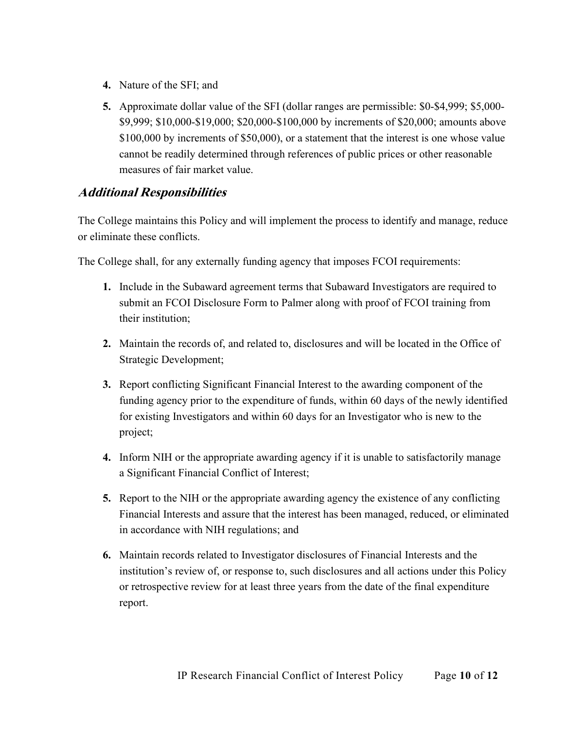- **4.** Nature of the SFI; and
- **5.** Approximate dollar value of the SFI (dollar ranges are permissible: \$0-\$4,999; \$5,000- \$9,999; \$10,000-\$19,000; \$20,000-\$100,000 by increments of \$20,000; amounts above \$100,000 by increments of \$50,000), or a statement that the interest is one whose value cannot be readily determined through references of public prices or other reasonable measures of fair market value.

#### **Additional Responsibilities**

The College maintains this Policy and will implement the process to identify and manage, reduce or eliminate these conflicts.

The College shall, for any externally funding agency that imposes FCOI requirements:

- **1.** Include in the Subaward agreement terms that Subaward Investigators are required to submit an FCOI Disclosure Form to Palmer along with proof of FCOI training from their institution;
- **2.** Maintain the records of, and related to, disclosures and will be located in the Office of Strategic Development;
- **3.** Report conflicting Significant Financial Interest to the awarding component of the funding agency prior to the expenditure of funds, within 60 days of the newly identified for existing Investigators and within 60 days for an Investigator who is new to the project;
- **4.** Inform NIH or the appropriate awarding agency if it is unable to satisfactorily manage a Significant Financial Conflict of Interest;
- **5.** Report to the NIH or the appropriate awarding agency the existence of any conflicting Financial Interests and assure that the interest has been managed, reduced, or eliminated in accordance with NIH regulations; and
- **6.** Maintain records related to Investigator disclosures of Financial Interests and the institution's review of, or response to, such disclosures and all actions under this Policy or retrospective review for at least three years from the date of the final expenditure report.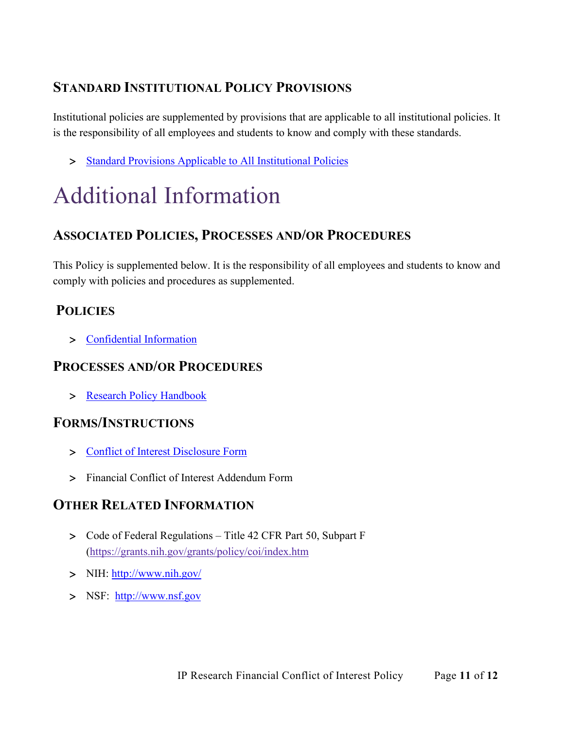## **STANDARD INSTITUTIONAL POLICY PROVISIONS**

Institutional policies are supplemented by provisions that are applicable to all institutional policies. It is the responsibility of all employees and students to know and comply with these standards.

> [Standard Provisions Applicable to All Institutional Policies](https://www.palmer.edu/getmedia/7a1240f1-0fb4-41e4-b543-50defa3da2a0/standard-provisions-applicable-to-all-institutional-policies.pdf)

# Additional Information

### **ASSOCIATED POLICIES, PROCESSES AND/OR PROCEDURES**

This Policy is supplemented below. It is the responsibility of all employees and students to know and comply with policies and procedures as supplemented.

## **POLICIES**

> [Confidential Information](http://www.palmer.edu/uploadedFiles/Pages/Students/Resources_and_Offices/Handbook_and_Policies/_pdf/IP-Confidential-Information.pdf)

#### **PROCESSES AND/OR PROCEDURES**

> [Research Policy Handbook](https://livepalmer.sharepoint.com/sites/OfficeofCompliance/Shared%20Documents/Forms/All%20Documents.aspx?id=%2Fsites%2FOfficeofCompliance%2FShared%20Documents%2FPolicies%2FResearch%20Policy%20Handbook%2Epdf&parent=%2Fsites%2FOfficeofCompliance%2FShared%20Documents%2FPolicies)

#### **FORMS/INSTRUCTIONS**

- > [Conflict of Interest Disclosure Form](https://forms.office.com/Pages/ResponsePage.aspx?id=raWysUySNk6ftMdQ05FYxIIYNIp8hXtCiLo5pQT-PIlUQTlORTQ5SkhXSVJFMERMTVFXNFhQMzI4VC4u)
- > Financial Conflict of Interest Addendum Form

## **OTHER RELATED INFORMATION**

- > Code of Federal Regulations Title 42 CFR Part 50, Subpart F [\(https://grants.nih.gov/grants/policy/coi/index.htm](https://grants.nih.gov/grants/policy/coi/index.htm)
- > NIH:<http://www.nih.gov/>
- > NSF: [http://www.nsf.gov](http://www.nsf.gov/)